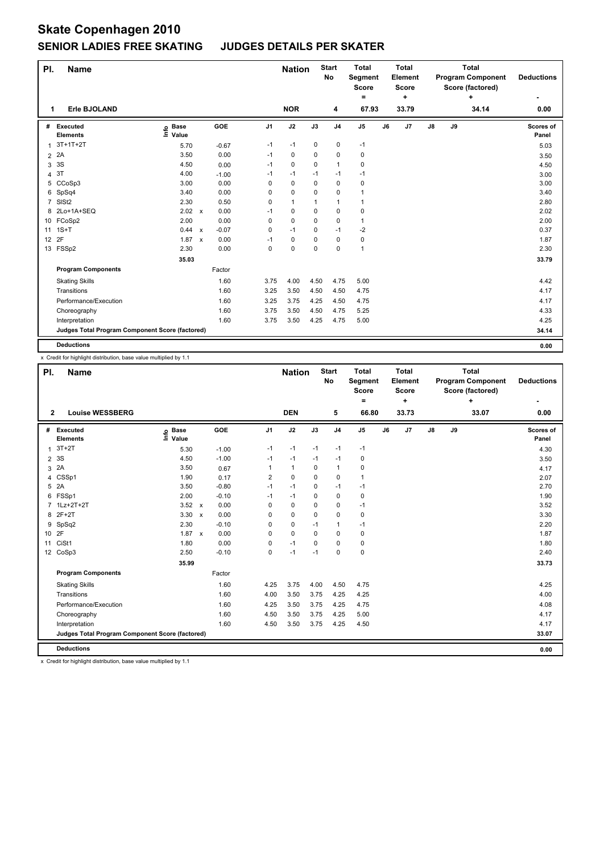# **Skate Copenhagen 2010 SENIOR LADIES FREE SKATING JUDGES DETAILS PER SKATER**

| PI.            | <b>Name</b>                                     |                                  |              |         |                | <b>Nation</b> |             | <b>Start</b><br>No | <b>Total</b><br>Segment<br><b>Score</b><br>۰ |    | <b>Total</b><br>Element<br><b>Score</b><br>٠ | <b>Total</b><br><b>Program Component</b><br>Score (factored)<br>÷ |    |       | <b>Deductions</b>  |
|----------------|-------------------------------------------------|----------------------------------|--------------|---------|----------------|---------------|-------------|--------------------|----------------------------------------------|----|----------------------------------------------|-------------------------------------------------------------------|----|-------|--------------------|
| 1              | Erle BJOLAND                                    |                                  |              |         |                | <b>NOR</b>    |             | 4                  | 67.93                                        |    | 33.79                                        |                                                                   |    | 34.14 | 0.00               |
| #              | Executed<br><b>Elements</b>                     | <b>Base</b><br>은 Base<br>트 Value |              | GOE     | J <sub>1</sub> | J2            | J3          | J <sub>4</sub>     | J <sub>5</sub>                               | J6 | J7                                           | $\mathsf{J}8$                                                     | J9 |       | Scores of<br>Panel |
| 1              | $3T+1T+2T$                                      | 5.70                             |              | $-0.67$ | $-1$           | $-1$          | 0           | $\mathbf 0$        | $-1$                                         |    |                                              |                                                                   |    |       | 5.03               |
| 2              | 2A                                              | 3.50                             |              | 0.00    | $-1$           | 0             | 0           | $\pmb{0}$          | $\pmb{0}$                                    |    |                                              |                                                                   |    |       | 3.50               |
| 3              | 3S                                              | 4.50                             |              | 0.00    | $-1$           | $\mathbf 0$   | $\Omega$    | $\mathbf{1}$       | $\pmb{0}$                                    |    |                                              |                                                                   |    |       | 4.50               |
|                | 4 3T                                            | 4.00                             |              | $-1.00$ | $-1$           | $-1$          | $-1$        | $-1$               | $-1$                                         |    |                                              |                                                                   |    |       | 3.00               |
|                | 5 CCoSp3                                        | 3.00                             |              | 0.00    | 0              | $\mathbf 0$   | 0           | $\mathbf 0$        | 0                                            |    |                                              |                                                                   |    |       | 3.00               |
|                | 6 SpSq4                                         | 3.40                             |              | 0.00    | 0              | 0             | 0           | 0                  | $\mathbf{1}$                                 |    |                                              |                                                                   |    |       | 3.40               |
| $\overline{7}$ | SISt <sub>2</sub>                               | 2.30                             |              | 0.50    | 0              | $\mathbf{1}$  | 1           | $\overline{1}$     | $\mathbf{1}$                                 |    |                                              |                                                                   |    |       | 2.80               |
|                | 8 2Lo+1A+SEQ                                    | 2.02 x                           |              | 0.00    | $-1$           | $\mathbf 0$   | $\mathbf 0$ | $\pmb{0}$          | 0                                            |    |                                              |                                                                   |    |       | 2.02               |
|                | 10 FCoSp2                                       | 2.00                             |              | 0.00    | 0              | $\mathbf 0$   | 0           | $\mathbf 0$        | $\mathbf{1}$                                 |    |                                              |                                                                   |    |       | 2.00               |
|                | 11 1S+T                                         | 0.44 x                           |              | $-0.07$ | 0              | $-1$          | 0           | $-1$               | $-2$                                         |    |                                              |                                                                   |    |       | 0.37               |
| 12             | 2F                                              | 1.87                             | $\mathsf{x}$ | 0.00    | $-1$           | $\mathbf 0$   | 0           | $\mathbf 0$        | $\pmb{0}$                                    |    |                                              |                                                                   |    |       | 1.87               |
|                | 13 FSSp2                                        | 2.30                             |              | 0.00    | 0              | 0             | 0           | 0                  | $\mathbf{1}$                                 |    |                                              |                                                                   |    |       | 2.30               |
|                |                                                 | 35.03                            |              |         |                |               |             |                    |                                              |    |                                              |                                                                   |    |       | 33.79              |
|                | <b>Program Components</b>                       |                                  |              | Factor  |                |               |             |                    |                                              |    |                                              |                                                                   |    |       |                    |
|                | <b>Skating Skills</b>                           |                                  |              | 1.60    | 3.75           | 4.00          | 4.50        | 4.75               | 5.00                                         |    |                                              |                                                                   |    |       | 4.42               |
|                | Transitions                                     |                                  |              | 1.60    | 3.25           | 3.50          | 4.50        | 4.50               | 4.75                                         |    |                                              |                                                                   |    |       | 4.17               |
|                | Performance/Execution                           |                                  |              | 1.60    | 3.25           | 3.75          | 4.25        | 4.50               | 4.75                                         |    |                                              |                                                                   |    |       | 4.17               |
|                | Choreography                                    |                                  |              | 1.60    | 3.75           | 3.50          | 4.50        | 4.75               | 5.25                                         |    |                                              |                                                                   |    |       | 4.33               |
|                | Interpretation                                  |                                  |              | 1.60    | 3.75           | 3.50          | 4.25        | 4.75               | 5.00                                         |    |                                              |                                                                   |    |       | 4.25               |
|                | Judges Total Program Component Score (factored) |                                  |              |         |                |               |             |                    |                                              |    |                                              |                                                                   |    |       | 34.14              |
|                | <b>Deductions</b>                               |                                  |              |         |                |               |             |                    |                                              |    |                                              |                                                                   |    |       | 0.00               |

x Credit for highlight distribution, base value multiplied by 1.1

| PI.             | <b>Name</b>                                     |                                  |              |         |                | <b>Nation</b> |             | <b>Start</b><br>No | <b>Total</b><br>Segment<br><b>Score</b><br>= |    | <b>Total</b><br>Element<br><b>Score</b><br>÷ | <b>Total</b><br><b>Program Component</b><br>Score (factored)<br>÷ |    |       | <b>Deductions</b>  |
|-----------------|-------------------------------------------------|----------------------------------|--------------|---------|----------------|---------------|-------------|--------------------|----------------------------------------------|----|----------------------------------------------|-------------------------------------------------------------------|----|-------|--------------------|
| $\mathbf{2}$    | <b>Louise WESSBERG</b>                          |                                  |              |         |                | <b>DEN</b>    |             | 5                  | 66.80                                        |    | 33.73                                        |                                                                   |    | 33.07 | 0.00               |
| #               | Executed<br><b>Elements</b>                     | <b>Base</b><br>e Base<br>⊑ Value |              | GOE     | J <sub>1</sub> | J2            | J3          | J <sub>4</sub>     | J <sub>5</sub>                               | J6 | J7                                           | J8                                                                | J9 |       | Scores of<br>Panel |
| 1               | $3T+2T$                                         | 5.30                             |              | $-1.00$ | $-1$           | $-1$          | $-1$        | $-1$               | $-1$                                         |    |                                              |                                                                   |    |       | 4.30               |
| $\overline{2}$  | 3S                                              | 4.50                             |              | $-1.00$ | $-1$           | $-1$          | $-1$        | $-1$               | 0                                            |    |                                              |                                                                   |    |       | 3.50               |
| 3               | 2A                                              | 3.50                             |              | 0.67    | 1              | $\mathbf{1}$  | $\mathbf 0$ | $\mathbf{1}$       | $\pmb{0}$                                    |    |                                              |                                                                   |    |       | 4.17               |
| 4               | CSSp1                                           | 1.90                             |              | 0.17    | 2              | 0             | 0           | 0                  | $\mathbf{1}$                                 |    |                                              |                                                                   |    |       | 2.07               |
| 5               | 2A                                              | 3.50                             |              | $-0.80$ | $-1$           | $-1$          | 0           | $-1$               | $-1$                                         |    |                                              |                                                                   |    |       | 2.70               |
| 6               | FSSp1                                           | 2.00                             |              | $-0.10$ | $-1$           | $-1$          | 0           | $\mathbf 0$        | $\pmb{0}$                                    |    |                                              |                                                                   |    |       | 1.90               |
| $\overline{7}$  | $1Lz+2T+2T$                                     | 3.52                             | $\mathbf{x}$ | 0.00    | $\Omega$       | $\mathbf 0$   | 0           | $\mathbf 0$        | $-1$                                         |    |                                              |                                                                   |    |       | 3.52               |
| 8               | $2F+2T$                                         | 3.30                             | $\mathsf{x}$ | 0.00    | 0              | $\mathbf 0$   | 0           | $\mathbf 0$        | 0                                            |    |                                              |                                                                   |    |       | 3.30               |
| 9               | SpSq2                                           | 2.30                             |              | $-0.10$ | 0              | $\mathbf 0$   | $-1$        | $\mathbf{1}$       | $-1$                                         |    |                                              |                                                                   |    |       | 2.20               |
| 10 <sup>1</sup> | 2F                                              | 1.87                             | $\mathsf{x}$ | 0.00    | 0              | $\mathbf 0$   | 0           | $\mathbf 0$        | 0                                            |    |                                              |                                                                   |    |       | 1.87               |
| 11              | CiSt1                                           | 1.80                             |              | 0.00    | 0              | $-1$          | $\Omega$    | $\mathbf 0$        | $\mathbf 0$                                  |    |                                              |                                                                   |    |       | 1.80               |
| 12              | CoSp3                                           | 2.50                             |              | $-0.10$ | 0              | $-1$          | $-1$        | $\mathbf 0$        | $\pmb{0}$                                    |    |                                              |                                                                   |    |       | 2.40               |
|                 |                                                 | 35.99                            |              |         |                |               |             |                    |                                              |    |                                              |                                                                   |    |       | 33.73              |
|                 | <b>Program Components</b>                       |                                  |              | Factor  |                |               |             |                    |                                              |    |                                              |                                                                   |    |       |                    |
|                 | <b>Skating Skills</b>                           |                                  |              | 1.60    | 4.25           | 3.75          | 4.00        | 4.50               | 4.75                                         |    |                                              |                                                                   |    |       | 4.25               |
|                 | Transitions                                     |                                  |              | 1.60    | 4.00           | 3.50          | 3.75        | 4.25               | 4.25                                         |    |                                              |                                                                   |    |       | 4.00               |
|                 | Performance/Execution                           |                                  |              | 1.60    | 4.25           | 3.50          | 3.75        | 4.25               | 4.75                                         |    |                                              |                                                                   |    |       | 4.08               |
|                 | Choreography                                    |                                  |              | 1.60    | 4.50           | 3.50          | 3.75        | 4.25               | 5.00                                         |    |                                              |                                                                   |    |       | 4.17               |
|                 | Interpretation                                  |                                  |              | 1.60    | 4.50           | 3.50          | 3.75        | 4.25               | 4.50                                         |    |                                              |                                                                   |    |       | 4.17               |
|                 | Judges Total Program Component Score (factored) |                                  |              |         |                |               |             |                    |                                              |    |                                              |                                                                   |    |       | 33.07              |
|                 | <b>Deductions</b>                               |                                  |              |         |                |               |             |                    |                                              |    |                                              |                                                                   |    |       | 0.00               |

x Credit for highlight distribution, base value multiplied by 1.1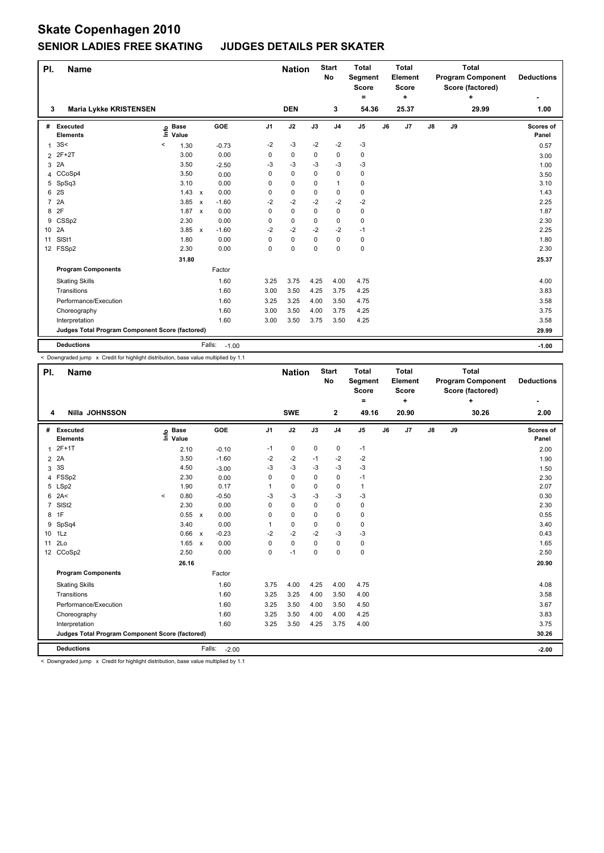## **Skate Copenhagen 2010 SENIOR LADIES FREE SKATING JUDGES DETAILS PER SKATER**

| PI.            | <b>Name</b>                                     |      |                      |              |                   |                | <b>Nation</b> |      | <b>Start</b><br>No | <b>Total</b><br>Segment<br><b>Score</b> |    | <b>Total</b><br>Element<br><b>Score</b> |               | <b>Program Component</b><br>Score (factored) | <b>Deductions</b> |                    |
|----------------|-------------------------------------------------|------|----------------------|--------------|-------------------|----------------|---------------|------|--------------------|-----------------------------------------|----|-----------------------------------------|---------------|----------------------------------------------|-------------------|--------------------|
| 3              | <b>Maria Lykke KRISTENSEN</b>                   |      |                      |              |                   |                | <b>DEN</b>    |      | 3                  | ۰<br>54.36                              |    | ÷<br>25.37                              |               |                                              | ÷<br>29.99        | 1.00               |
| #              | Executed<br><b>Elements</b>                     | ١nfo | <b>Base</b><br>Value |              | <b>GOE</b>        | J <sub>1</sub> | J2            | J3   | J <sub>4</sub>     | J <sub>5</sub>                          | J6 | J7                                      | $\mathsf{J}8$ | J9                                           |                   | Scores of<br>Panel |
| 1              | 3S<                                             | <    | 1.30                 |              | $-0.73$           | $-2$           | $-3$          | $-2$ | $-2$               | $-3$                                    |    |                                         |               |                                              |                   | 0.57               |
| $\overline{2}$ | 2F+2T                                           |      | 3.00                 |              | 0.00              | 0              | 0             | 0    | 0                  | $\pmb{0}$                               |    |                                         |               |                                              |                   | 3.00               |
| 3              | 2A                                              |      | 3.50                 |              | $-2.50$           | -3             | $-3$          | -3   | $-3$               | $-3$                                    |    |                                         |               |                                              |                   | 1.00               |
|                | 4 CCoSp4                                        |      | 3.50                 |              | 0.00              | 0              | $\mathbf 0$   | 0    | $\mathbf 0$        | 0                                       |    |                                         |               |                                              |                   | 3.50               |
|                | 5 SpSq3                                         |      | 3.10                 |              | 0.00              | 0              | 0             | 0    | $\mathbf{1}$       | 0                                       |    |                                         |               |                                              |                   | 3.10               |
| 6              | <b>2S</b>                                       |      | $1.43 \times$        |              | 0.00              | 0              | $\mathbf 0$   | 0    | $\pmb{0}$          | $\pmb{0}$                               |    |                                         |               |                                              |                   | 1.43               |
| $\overline{7}$ | 2A                                              |      | 3.85                 | $\mathsf{x}$ | $-1.60$           | $-2$           | $-2$          | $-2$ | $-2$               | $-2$                                    |    |                                         |               |                                              |                   | 2.25               |
| 8              | 2F                                              |      | 1.87 x               |              | 0.00              | 0              | $\mathbf 0$   | 0    | $\mathbf 0$        | $\pmb{0}$                               |    |                                         |               |                                              |                   | 1.87               |
| 9              | CSSp2                                           |      | 2.30                 |              | 0.00              | 0              | $\mathbf 0$   | 0    | 0                  | $\pmb{0}$                               |    |                                         |               |                                              |                   | 2.30               |
| 10 2A          |                                                 |      | 3.85 x               |              | $-1.60$           | -2             | $-2$          | $-2$ | -2                 | $-1$                                    |    |                                         |               |                                              |                   | 2.25               |
| 11             | SISt1                                           |      | 1.80                 |              | 0.00              | 0              | 0             | 0    | 0                  | 0                                       |    |                                         |               |                                              |                   | 1.80               |
|                | 12 FSSp2                                        |      | 2.30                 |              | 0.00              | 0              | $\mathbf 0$   | 0    | $\mathbf 0$        | $\pmb{0}$                               |    |                                         |               |                                              |                   | 2.30               |
|                |                                                 |      | 31.80                |              |                   |                |               |      |                    |                                         |    |                                         |               |                                              |                   | 25.37              |
|                | <b>Program Components</b>                       |      |                      |              | Factor            |                |               |      |                    |                                         |    |                                         |               |                                              |                   |                    |
|                | <b>Skating Skills</b>                           |      |                      |              | 1.60              | 3.25           | 3.75          | 4.25 | 4.00               | 4.75                                    |    |                                         |               |                                              |                   | 4.00               |
|                | Transitions                                     |      |                      |              | 1.60              | 3.00           | 3.50          | 4.25 | 3.75               | 4.25                                    |    |                                         |               |                                              |                   | 3.83               |
|                | Performance/Execution                           |      |                      |              | 1.60              | 3.25           | 3.25          | 4.00 | 3.50               | 4.75                                    |    |                                         |               |                                              |                   | 3.58               |
|                | Choreography                                    |      |                      |              | 1.60              | 3.00           | 3.50          | 4.00 | 3.75               | 4.25                                    |    |                                         |               |                                              |                   | 3.75               |
|                | Interpretation                                  |      |                      |              | 1.60              | 3.00           | 3.50          | 3.75 | 3.50               | 4.25                                    |    |                                         |               |                                              |                   | 3.58               |
|                | Judges Total Program Component Score (factored) |      |                      |              |                   |                |               |      |                    |                                         |    |                                         |               |                                              |                   | 29.99              |
|                | <b>Deductions</b>                               |      |                      |              | Falls:<br>$-1.00$ |                |               |      |                    |                                         |    |                                         |               |                                              |                   | $-1.00$            |

< Downgraded jump x Credit for highlight distribution, base value multiplied by 1.1

| PI.             | <b>Name</b>                                     |         |                      |              |                   |                | <b>Nation</b> |             | <b>Start</b><br>No | <b>Total</b><br>Segment<br><b>Score</b><br>= |    | <b>Total</b><br>Element<br><b>Score</b><br>÷ | <b>Total</b><br><b>Program Component</b><br>Score (factored)<br>÷ |    |       | <b>Deductions</b>  |
|-----------------|-------------------------------------------------|---------|----------------------|--------------|-------------------|----------------|---------------|-------------|--------------------|----------------------------------------------|----|----------------------------------------------|-------------------------------------------------------------------|----|-------|--------------------|
| 4               | <b>Nilla JOHNSSON</b>                           |         |                      |              |                   |                | <b>SWE</b>    |             | $\mathbf{2}$       | 49.16                                        |    | 20.90                                        |                                                                   |    | 30.26 | 2.00               |
| #               | Executed<br><b>Elements</b>                     | lnfo    | <b>Base</b><br>Value |              | GOE               | J <sub>1</sub> | J2            | J3          | J <sub>4</sub>     | J <sub>5</sub>                               | J6 | J7                                           | J8                                                                | J9 |       | Scores of<br>Panel |
| 1               | $2F+1T$                                         |         | 2.10                 |              | $-0.10$           | $-1$           | $\mathbf 0$   | 0           | $\pmb{0}$          | $-1$                                         |    |                                              |                                                                   |    |       | 2.00               |
| $\overline{2}$  | 2A                                              |         | 3.50                 |              | $-1.60$           | $-2$           | $-2$          | $-1$        | $-2$               | $-2$                                         |    |                                              |                                                                   |    |       | 1.90               |
| 3               | 3S                                              |         | 4.50                 |              | $-3.00$           | $-3$           | $-3$          | $-3$        | $-3$               | -3                                           |    |                                              |                                                                   |    |       | 1.50               |
| 4               | FSSp2                                           |         | 2.30                 |              | 0.00              | 0              | 0             | 0           | 0                  | $-1$                                         |    |                                              |                                                                   |    |       | 2.30               |
| 5               | LSp2                                            |         | 1.90                 |              | 0.17              | 1              | $\pmb{0}$     | 0           | $\mathbf 0$        | $\mathbf{1}$                                 |    |                                              |                                                                   |    |       | 2.07               |
| 6               | 2A<                                             | $\prec$ | 0.80                 |              | $-0.50$           | -3             | $-3$          | -3          | $-3$               | -3                                           |    |                                              |                                                                   |    |       | 0.30               |
| $\overline{7}$  | SIS <sub>t2</sub>                               |         | 2.30                 |              | 0.00              | $\Omega$       | $\mathbf 0$   | $\Omega$    | $\mathbf 0$        | 0                                            |    |                                              |                                                                   |    |       | 2.30               |
| 8               | 1F                                              |         | 0.55                 | $\mathsf{x}$ | 0.00              | 0              | $\mathbf 0$   | 0           | $\mathbf 0$        | 0                                            |    |                                              |                                                                   |    |       | 0.55               |
| 9               | SpSq4                                           |         | 3.40                 |              | 0.00              | 1              | $\mathbf 0$   | $\mathbf 0$ | $\pmb{0}$          | 0                                            |    |                                              |                                                                   |    |       | 3.40               |
| 10 <sup>1</sup> | 1Lz                                             |         | 0.66                 | $\mathbf{x}$ | $-0.23$           | $-2$           | $-2$          | $-2$        | $-3$               | -3                                           |    |                                              |                                                                   |    |       | 0.43               |
| 11              | 2 <sub>LO</sub>                                 |         | $1.65 \times$        |              | 0.00              | $\Omega$       | $\mathbf 0$   | $\Omega$    | $\mathbf 0$        | $\mathbf 0$                                  |    |                                              |                                                                   |    |       | 1.65               |
| 12              | CCoSp2                                          |         | 2.50                 |              | 0.00              | 0              | $-1$          | $\mathbf 0$ | $\mathbf 0$        | $\pmb{0}$                                    |    |                                              |                                                                   |    |       | 2.50               |
|                 |                                                 |         | 26.16                |              |                   |                |               |             |                    |                                              |    |                                              |                                                                   |    |       | 20.90              |
|                 | <b>Program Components</b>                       |         |                      |              | Factor            |                |               |             |                    |                                              |    |                                              |                                                                   |    |       |                    |
|                 | <b>Skating Skills</b>                           |         |                      |              | 1.60              | 3.75           | 4.00          | 4.25        | 4.00               | 4.75                                         |    |                                              |                                                                   |    |       | 4.08               |
|                 | Transitions                                     |         |                      |              | 1.60              | 3.25           | 3.25          | 4.00        | 3.50               | 4.00                                         |    |                                              |                                                                   |    |       | 3.58               |
|                 | Performance/Execution                           |         |                      |              | 1.60              | 3.25           | 3.50          | 4.00        | 3.50               | 4.50                                         |    |                                              |                                                                   |    |       | 3.67               |
|                 | Choreography                                    |         |                      |              | 1.60              | 3.25           | 3.50          | 4.00        | 4.00               | 4.25                                         |    |                                              |                                                                   |    |       | 3.83               |
|                 | Interpretation                                  |         |                      |              | 1.60              | 3.25           | 3.50          | 4.25        | 3.75               | 4.00                                         |    |                                              |                                                                   |    |       | 3.75               |
|                 | Judges Total Program Component Score (factored) |         |                      |              |                   |                |               |             |                    |                                              |    |                                              |                                                                   |    |       | 30.26              |
|                 | <b>Deductions</b>                               |         |                      |              | Falls:<br>$-2.00$ |                |               |             |                    |                                              |    |                                              |                                                                   |    |       | $-2.00$            |

< Downgraded jump x Credit for highlight distribution, base value multiplied by 1.1